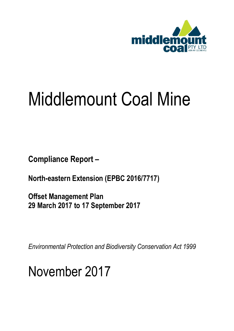

## Middlemount Coal Mine

**Compliance Report –**

**North-eastern Extension (EPBC 2016/7717)**

**Offset Management Plan 29 March 2017 to 17 September 2017**

*Environmental Protection and Biodiversity Conservation Act 1999*

November 2017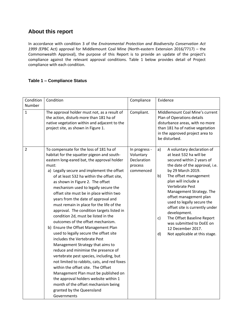## **About this report**

In accordance with condition 3 of the *Environmental Protection and Biodiversity Conservation Act 1999 (*EPBC Act) approval for Middlemount Coal Mine (North-eastern Extension 2016/7717) – the Commonwealth Approval), the purpose of this Report is to provide an update of the project's compliance against the relevant approval conditions. Table 1 below provides detail of Project compliance with each condition.

## **Table 1 – Compliance Status**

| Condition<br>Number | Condition                                                                                                                                                                                                                                                                                                                                                                                                                                                                                                                                                                                                                                                                                                                                                                                                                                                                                                                                                                                                                                                                     | Compliance                                                        | Evidence                                                                                                                                                                                                                                                                                                                                                                                                                                                                                             |
|---------------------|-------------------------------------------------------------------------------------------------------------------------------------------------------------------------------------------------------------------------------------------------------------------------------------------------------------------------------------------------------------------------------------------------------------------------------------------------------------------------------------------------------------------------------------------------------------------------------------------------------------------------------------------------------------------------------------------------------------------------------------------------------------------------------------------------------------------------------------------------------------------------------------------------------------------------------------------------------------------------------------------------------------------------------------------------------------------------------|-------------------------------------------------------------------|------------------------------------------------------------------------------------------------------------------------------------------------------------------------------------------------------------------------------------------------------------------------------------------------------------------------------------------------------------------------------------------------------------------------------------------------------------------------------------------------------|
| $\mathbf{1}$        | The approval holder must not, as a result of<br>the action, disturb more than 181 ha of<br>native vegetation within and adjacent to the<br>project site, as shown in Figure 1.                                                                                                                                                                                                                                                                                                                                                                                                                                                                                                                                                                                                                                                                                                                                                                                                                                                                                                | Compliant.                                                        | Middlemount Coal Mine's current<br>Plan of Operations details<br>disturbance areas, with no more<br>than 181 ha of native vegetation<br>in the approved project area to<br>be disturbed.                                                                                                                                                                                                                                                                                                             |
| $\overline{2}$      | To compensate for the loss of 181 ha of<br>habitat for the squatter pigeon and south-<br>eastern long-eared bat, the approval holder<br>must:<br>a) Legally secure and implement the offset<br>of at least 532 ha within the offset site,<br>as shown in Figure 2. The offset<br>mechanism used to legally secure the<br>offset site must be in place within two<br>years from the date of approval and<br>must remain in place for the life of the<br>approval. The condition targets listed in<br>condition 2d, must be listed in the<br>outcomes of the offset mechanism.<br>b) Ensure the Offset Management Plan<br>used to legally secure the offset site<br>includes the Vertebrate Pest<br>Management Strategy that aims to<br>reduce and minimise the presence of<br>vertebrate pest species, including, but<br>not limited to rabbits, cats, and red foxes<br>within the offset site. The Offset<br>Management Plan must be published on<br>the approval holders website within 1<br>month of the offset mechanism being<br>granted by the Queensland<br>Governments | In progress -<br>Voluntary<br>Declaration<br>process<br>commenced | A voluntary declaration of<br>a)<br>at least 532 ha will be<br>secured within 2 years of<br>the date of the approval, i.e.<br>by 29 March 2019.<br>b)<br>The offset management<br>plan will include a<br>Vertebrate Pest<br>Management Strategy. The<br>offset management plan<br>used to legally secure the<br>offset site is currently under<br>development.<br>The Offset Baseline Report<br>$\mathsf{c}$<br>was submitted to DoEE on<br>12 December 2017.<br>d)<br>Not applicable at this stage. |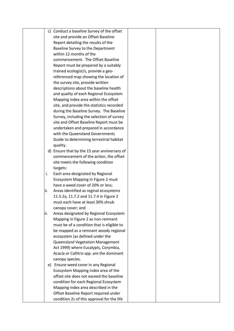|      | c) Conduct a baseline Survey of the offset                                      |  |
|------|---------------------------------------------------------------------------------|--|
|      | site and provide an Offset Baseline                                             |  |
|      | Report detailing the results of the                                             |  |
|      | Baseline Survey to the Department                                               |  |
|      | within 12 months of the                                                         |  |
|      | commencement. The Offset Baseline                                               |  |
|      | Report must be prepared by a suitably                                           |  |
|      | trained ecologist/s, provide a geo-                                             |  |
|      | referenced map showing the location of                                          |  |
|      | the survey site, provide written                                                |  |
|      | descriptions about the baseline health                                          |  |
|      | and quality of each Regional Ecosystem                                          |  |
|      | Mapping index area within the offset                                            |  |
|      | site, and provide the statistics recorded                                       |  |
|      | during the Baseline Survey. The Baseline                                        |  |
|      | Survey, including the selection of survey                                       |  |
|      | site and Offset Baseline Report must be                                         |  |
|      | undertaken and prepared in accordance                                           |  |
|      | with the Queensland Governments                                                 |  |
|      | Guide to determining terrestrial habitat                                        |  |
|      | quality.                                                                        |  |
|      | d) Ensure that by the 15 year anniversary of                                    |  |
|      | commencement of the action, the offset                                          |  |
|      | site meets the following condition                                              |  |
|      | targets:                                                                        |  |
| i.   | Each area designated by Regional                                                |  |
|      | Ecosystem Mapping in Figure 2 must                                              |  |
|      | have a weed cover of 20% or less;                                               |  |
| lii. | Areas identified as reginal ecosystems                                          |  |
|      | 11.5.2a, 11.7.2 and 11.7.4 in Figure 2                                          |  |
|      | must each have at least 30% shrub                                               |  |
|      | canopy cover; and                                                               |  |
| iii. | Areas designated by Regional Ecosystem                                          |  |
|      | Mapping in Figure 2 as non-remnant                                              |  |
|      | must be of a condition that is eligible to                                      |  |
|      | be mapped as a remnant woody regional                                           |  |
|      | ecosystem (as defined under the                                                 |  |
|      | <b>Queensland Vegetation Management</b>                                         |  |
|      | Act 1999) where Eucalypts, Corymbia,                                            |  |
|      |                                                                                 |  |
|      | Acacia or Callitris spp. are the dominant                                       |  |
|      | canopy species.<br>e) Ensure weed cover in any Regional                         |  |
|      |                                                                                 |  |
|      | Ecosystem Mapping index area of the<br>offset site does not exceed the baseline |  |
|      |                                                                                 |  |
|      | condition for each Regional Ecosystem                                           |  |
|      | Mapping index area described in the                                             |  |
|      | Offset Baseline Report required under                                           |  |
|      | condition 2c of this approval for the life                                      |  |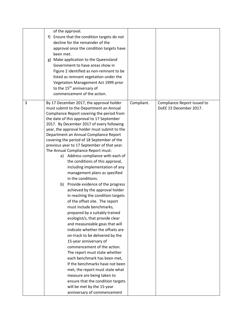|   | of the approval.<br>f) Ensure that the condition targets do not<br>decline for the remainder of the<br>approval once the condition targets have<br>been met.<br>g) Make application to the Queensland<br>Government to have areas show in<br>Figure 2 identified as non-remnant to be<br>listed as remnant vegetation under the<br>Vegetation Management Act 1999 prior<br>to the 15 <sup>th</sup> anniversary of<br>commencement of the action.                                                                                                                                                                                                                                                                                                                                                                                                                                                                                                                                                                                                                                                                                                                                                                                                                                                                        |            |                                                       |
|---|-------------------------------------------------------------------------------------------------------------------------------------------------------------------------------------------------------------------------------------------------------------------------------------------------------------------------------------------------------------------------------------------------------------------------------------------------------------------------------------------------------------------------------------------------------------------------------------------------------------------------------------------------------------------------------------------------------------------------------------------------------------------------------------------------------------------------------------------------------------------------------------------------------------------------------------------------------------------------------------------------------------------------------------------------------------------------------------------------------------------------------------------------------------------------------------------------------------------------------------------------------------------------------------------------------------------------|------------|-------------------------------------------------------|
| 3 | By 17 December 2017, the approval holder<br>must submit to the Department an Annual<br>Compliance Report covering the period from<br>the date of this approval to 17 September<br>2017. By December 2017 of every following<br>year, the approval holder must submit to the<br>Department an Annual Compliance Report<br>covering the period of 18 September of the<br>previous year to 17 September of that year.<br>The Annual Compliance Report must:<br>a) Address compliance with each of<br>the conditions of this approval,<br>including implementation of any<br>management plans as specified<br>in the conditions.<br>b) Provide evidence of the progress<br>achieved by the approval holder<br>in reaching the condition targets<br>of the offset site. The report<br>must include benchmarks,<br>prepared by a suitably trained<br>ecologist/s, that provide clear<br>and measureable goas that will<br>indicate whether the offsets are<br>on-track to be delivered by the<br>15-year anniversary of<br>commencement of the action.<br>The report must state whether<br>each benchmark has been met,<br>If the benchmarks have not been<br>met, the report must state what<br>measure are being taken to<br>ensure that the condition targets<br>will be met by the 15-year<br>anniversary of commencement | Compliant. | Compliance Report issued to<br>DoEE 15 December 2017. |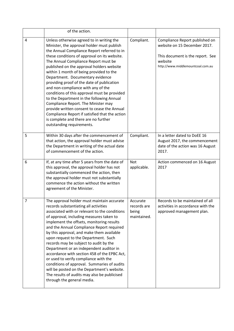|                | of the action.                                                                                                                                                                                                                                                                                                                                                                                                                                                                                                                                                                                                                                                                                                                                           |                                                 |                                                                                                                                                    |
|----------------|----------------------------------------------------------------------------------------------------------------------------------------------------------------------------------------------------------------------------------------------------------------------------------------------------------------------------------------------------------------------------------------------------------------------------------------------------------------------------------------------------------------------------------------------------------------------------------------------------------------------------------------------------------------------------------------------------------------------------------------------------------|-------------------------------------------------|----------------------------------------------------------------------------------------------------------------------------------------------------|
| 4              | Unless otherwise agreed to in writing the<br>Minister, the approval holder must publish<br>the Annual Compliance Report referred to in<br>these conditions of approval on its website.<br>The Annual Compliance Report must be<br>published on the approval holders website<br>within 1 month of being provided to the<br>Department. Documentary evidence<br>providing proof of the date of publication<br>and non-compliance with any of the<br>conditions of this approval must be provided<br>to the Department in the following Annual<br>Compliance Report. The Minister may<br>provide written consent to cease the Annual<br>Compliance Report if satisfied that the action<br>is complete and there are no further<br>outstanding requirements. | Compliant.                                      | Compliance Report published on<br>website on 15 December 2017.<br>This document is the report. See<br>website<br>http://www.middlemountcoal.com.au |
| 5              | Within 30 days after the commencement of<br>that action, the approval holder must advise<br>the Department in writing of the actual date<br>of commencement of the action.                                                                                                                                                                                                                                                                                                                                                                                                                                                                                                                                                                               | Compliant.                                      | In a letter dated to DoEE 16<br>August 2017, the commencement<br>date of the action was 16 August<br>2017.                                         |
| 6              | If, at any time after 5 years from the date of<br>this approval, the approval holder has not<br>substantially commenced the action, then<br>the approval holder must not substantially<br>commence the action without the written<br>agreement of the Minister.                                                                                                                                                                                                                                                                                                                                                                                                                                                                                          | <b>Not</b><br>applicable.                       | Action commenced on 16 August<br>2017                                                                                                              |
| $\overline{7}$ | The approval holder must maintain accurate<br>records substantiating all activities<br>associated with or relevant to the conditions<br>of approval, including measures taken to<br>implement the offsets, monitoring results<br>and the Annual Compliance Report required<br>by this approval, and make them available<br>upon request to the Department. Such<br>records may be subject to audit by the<br>Department or an independent auditor in<br>accordance with section 458 of the EPBC Act,<br>or used to verify compliance with the<br>conditions of approval. Summaries of audits<br>will be posted on the Department's website.<br>The results of audits may also be publicised<br>through the general media.                                | Accurate<br>records are<br>being<br>maintained. | Records to be maintained of all<br>activities in accordance with the<br>approved management plan.                                                  |